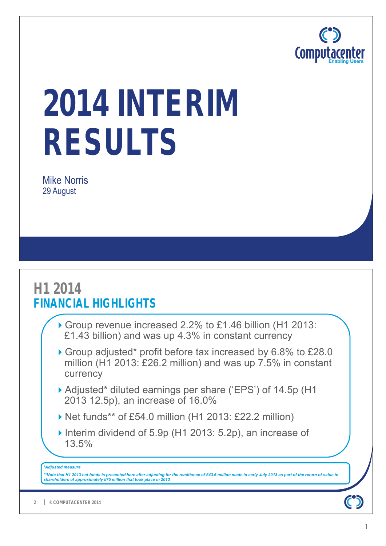

# **2014 INTERIM RESULTS**

Mike Norris 29 August

## **H1 2014 FINANCIAL HIGHLIGHTS**

- Group revenue increased 2.2% to £1.46 billion (H1 2013: £1.43 billion) and was up 4.3% in constant currency
- Group adjusted\* profit before tax increased by 6.8% to £28.0 million (H1 2013: £26.2 million) and was up 7.5% in constant currency
- Adjusted\* diluted earnings per share ('EPS') of 14.5p (H1 2013 12.5p), an increase of 16.0%
- ▶ Net funds\*\* of £54.0 million (H1 2013: £22.2 million)
- ▶ Interim dividend of 5.9p (H1 2013: 5.2p), an increase of 13.5%

#### *\*Adjusted measure*

*\*\*Note that H1 2013 net funds is presented here after adjusting for the remittance of £43.6 million made in early July 2013 as part of the return of value to shareholders of approximately £75 million that took place in 2013*

 $\bullet$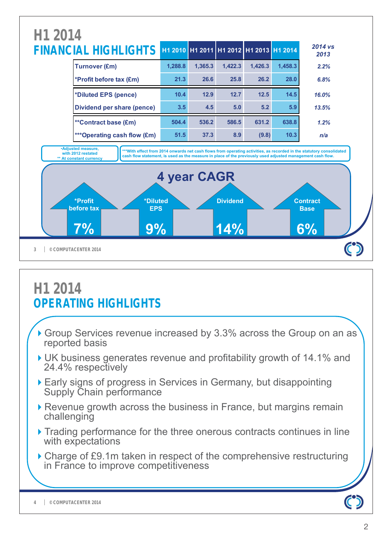

## **H1 2014 OPERATING HIGHLIGHTS**

- Group Services revenue increased by 3.3% across the Group on an as reported basis
- UK business generates revenue and profitability growth of 14.1% and 24.4% respectively
- Early signs of progress in Services in Germany, but disappointing Supply Chain performance
- ▶ Revenue growth across the business in France, but margins remain challenging
- ▶ Trading performance for the three onerous contracts continues in line with expectations
- ▶ Charge of £9.1m taken in respect of the comprehensive restructuring in France to improve competitiveness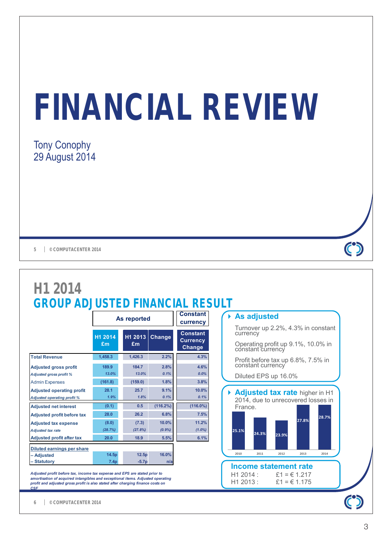# **FINANCIAL REVIEW**

### Tony Conophy 29 August 2014

**5 © COMPUTACENTER 2014**



**© COMPUTACENTER 2014 6**

 $\mathbf C$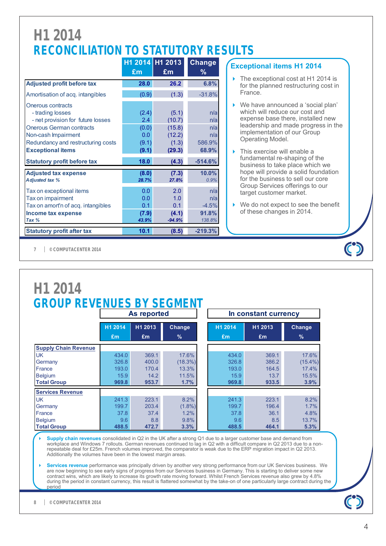## **H1 2014 RECONCILIATION TO STATUTORY RESULTS**

|                                                                                                                                                                                                        |                                                | H1 2014 H1 2013                                        | <b>Change</b>                               |
|--------------------------------------------------------------------------------------------------------------------------------------------------------------------------------------------------------|------------------------------------------------|--------------------------------------------------------|---------------------------------------------|
|                                                                                                                                                                                                        | £m                                             | £m                                                     | ℅                                           |
| <b>Adjusted profit before tax</b>                                                                                                                                                                      | 28.0                                           | 26.2                                                   | 6.8%                                        |
| Amortisation of acq. intangibles                                                                                                                                                                       | (0.9)                                          | (1.3)                                                  | $-31.8%$                                    |
| Onerous contracts<br>- trading losses<br>- net provision for future losses<br><b>Onerous German contracts</b><br>Non-cash Impairment<br>Redundancy and restructuring costs<br><b>Exceptional items</b> | (2.4)<br>2.4<br>(0.0)<br>0.0<br>(9.1)<br>(9.1) | (5.1)<br>(10.7)<br>(15.8)<br>(12.2)<br>(1.3)<br>(29.3) | n/a<br>n/a<br>n/a<br>n/a<br>586.9%<br>68.9% |
| <b>Statutory profit before tax</b>                                                                                                                                                                     | 18.0                                           | (4.3)                                                  | $-514.6%$                                   |
| <b>Adjusted tax expense</b><br><b>Adjusted tax %</b>                                                                                                                                                   | (8.0)<br>28.7%                                 | (7.3)<br>27.8%                                         | 10.0%<br>0.9%                               |
| Tax on exceptional items<br>Tax on impairment<br>Tax on amort'n of acq. intangibles<br>Income tax expense<br>Tax %                                                                                     | 0.0<br>0.0<br>0.1<br>(7.9)<br>43.9%            | 2.0<br>1.0<br>0.1<br>(4.1)<br>$-94.9%$                 | n/a<br>n/a<br>$-4.5%$<br>91.8%<br>138.8%    |
| <b>Statutory profit after tax</b>                                                                                                                                                                      | 10.1                                           | (8.5)                                                  | $-219.3%$                                   |

### **Exceptional items H1 2014**

- ▶ The exceptional cost at H1 2014 is for the planned restructuring cost in France.
- ▶ We have announced a 'social plan' which will reduce our cost and expense base there, installed new leadership and made progress in the implementation of our Group Operating Model.
- ▶ This exercise will enable a fundamental re-shaping of the business to take place which we hope will provide a solid foundation for the business to sell our core Group Services offerings to our target customer market.
- ▶ We do not expect to see the benefit of these changes in 2014.

**© COMPUTACENTER 2014 7**

|                             |               |               | <b>As reported</b>      |               | In constant currency |                         |
|-----------------------------|---------------|---------------|-------------------------|---------------|----------------------|-------------------------|
|                             | H1 2014<br>£m | H1 2013<br>Em | Change<br>$\frac{9}{6}$ | H1 2014<br>£m | H1 2013<br>£m        | Change<br>$\frac{9}{6}$ |
| <b>Supply Chain Revenue</b> |               |               |                         |               |                      |                         |
| <b>UK</b>                   | 434.0         | 369.1         | 17.6%                   | 434.0         | 369.1                | 17.6%                   |
| Germany                     | 326.8         | 400.0         | (18.3%)                 | 326.8         | 386.2                | $(15.4\%)$              |
| France                      | 193.0         | 170.4         | 13.3%                   | 193.0         | 164.5                | 17.4%                   |
| <b>Belgium</b>              | 15.9          | 14.2          | 11.5%                   | 15.9          | 13.7                 | 15.5%                   |
| <b>Total Group</b>          | 969.8         | 953.7         | 1.7%                    | 969.8         | 933.5                | 3.9%                    |
| <b>Services Revenue</b>     |               |               |                         |               |                      |                         |
| <b>UK</b>                   | 241.3         | 223.1         | 8.2%                    | 241.3         | 223.1                | 8.2%                    |
| Germany                     | 199.7         | 203.4         | $(1.8\%)$               | 199.7         | 196.4                | 1.7%                    |
| France                      | 37.8          | 37.4          | 1.2%                    | 37.8          | 36.1                 | 4.8%                    |
| <b>Belgium</b>              | 9.6           | 8.8           | 9.8%                    | 9.6           | 8.5                  | 13.7%                   |
| <b>Total Group</b>          | 488.5         | 472.7         | 3.3%                    | 488.5         | 464.1                | 5.3%                    |

 $\mathbf C$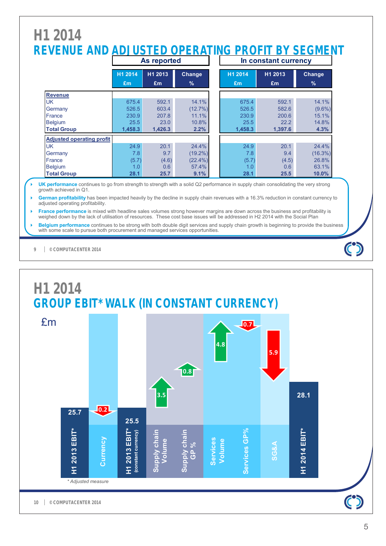## **H1 2014 REVENUE AND ADJUSTED OPERATING PROFIT BY SEGMENT**

|                                  | As reported |         |            | In constant currency |         |               |  |
|----------------------------------|-------------|---------|------------|----------------------|---------|---------------|--|
|                                  | H1 2014     | H1 2013 | Change     | H1 2014              | H1 2013 | <b>Change</b> |  |
|                                  | Em          | £m      | $\%$       | £m                   | Em      | $\%$          |  |
| <b>Revenue</b>                   |             |         |            |                      |         |               |  |
| UK.                              | 675.4       | 592.1   | 14.1%      | 675.4                | 592.1   | 14.1%         |  |
| Germany                          | 526.5       | 603.4   | (12.7%)    | 526.5                | 582.6   | $(9.6\%)$     |  |
| France                           | 230.9       | 207.8   | 11.1%      | 230.9                | 200.6   | 15.1%         |  |
| <b>Belgium</b>                   | 25.5        | 23.0    | 10.8%      | 25.5                 | 22.2    | 14.8%         |  |
| <b>Total Group</b>               | 1,458.3     | 1,426.3 | 2.2%       | 1,458.3              | 1,397.6 | 4.3%          |  |
| <b>Adjusted operating profit</b> |             |         |            |                      |         |               |  |
| UK.                              | 24.9        | 20.1    | 24.4%      | 24.9                 | 20.1    | 24.4%         |  |
| Germany                          | 7.8         | 9.7     | $(19.2\%)$ | 7.8                  | 9.4     | (16.3%)       |  |
| France                           | (5.7)       | (4.6)   | $(22.4\%)$ | (5.7)                | (4.5)   | 26.8%         |  |
| <b>Belgium</b>                   | 1.0         | 0.6     | 57.4%      | 1.0                  | 0.6     | 63.1%         |  |
| <b>Total Group</b>               | 28.1        | 25.7    | 9.1%       | 28.1                 | 25.5    | $10.0\%$      |  |

 **UK performance** continues to go from strength to strength with a solid Q2 performance in supply chain consolidating the very strong growth achieved in Q1.

 **German profitability** has been impacted heavily by the decline in supply chain revenues with a 16.3% reduction in constant currency to adjusted operating profitability.

**France performance** is mixed with headline sales volumes strong however margins are down across the business and profitability is weighed down by the lack of utilisation of resources. These cost base issues will be addressed in H2 2014 with the Social Plan

 **Belgium performance** continues to be strong with both double digit services and supply chain growth is beginning to provide the business with some scale to pursue both procurement and managed services opportunities.

**© COMPUTACENTER 2014 9**

# **H1 2014 GROUP EBIT\* WALK (IN CONSTANT CURRENCY)**

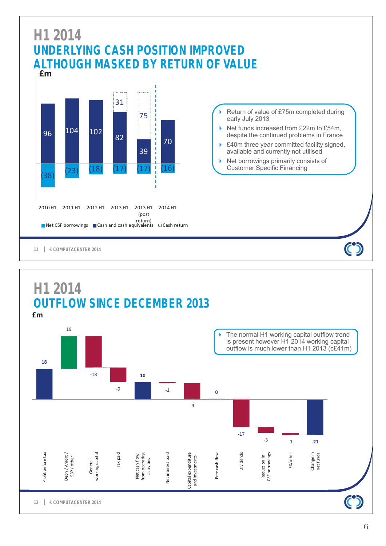

## **£m H1 2014 OUTFLOW SINCE DECEMBER 2013**

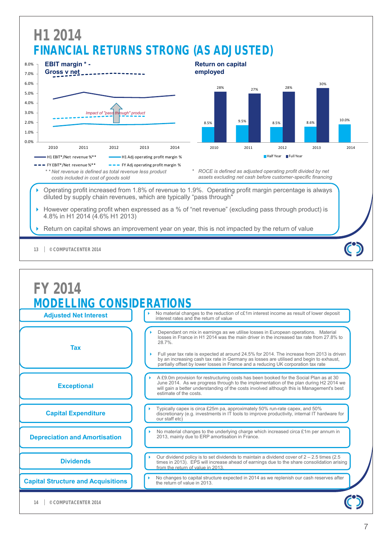

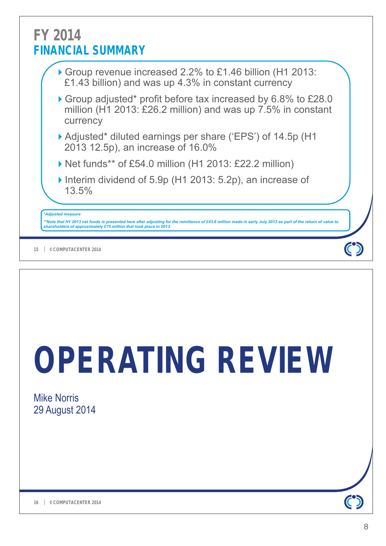## **FY 2014 FINANCIAL SUMMARY**

- Group revenue increased 2.2% to £1.46 billion (H1 2013: £1.43 billion) and was up 4.3% in constant currency
- Group adjusted\* profit before tax increased by 6.8% to £28.0 million (H1 2013: £26.2 million) and was up 7.5% in constant currency
- Adjusted\* diluted earnings per share ('EPS') of 14.5p (H1 2013 12.5p), an increase of 16.0%
- ▶ Net funds\*\* of £54.0 million (H1 2013: £22.2 million)
- ▶ Interim dividend of 5.9p (H1 2013: 5.2p), an increase of 13.5%

### *\*Adjusted measure*

\*\*Note that H1 2013 net funds is presented here after adjusting for the remittance of £43.6 million made in early July 2013 as part of the return of value to<br>shareholders of approximately £75 million that took place in 201

**© COMPUTACENTER 2014 15**

# **OPERATING REVIEW**

Mike Norris 29 August 2014

 $\mathbf C$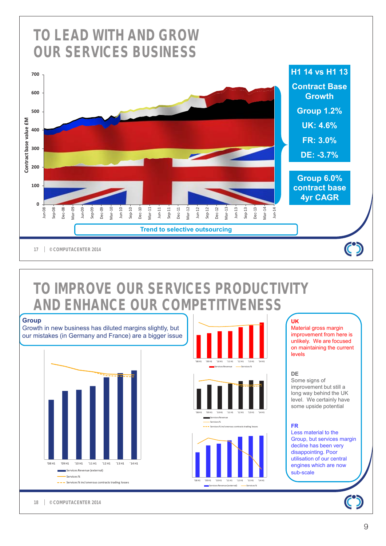

## **TO IMPROVE OUR SERVICES PRODUCTIVITY AND ENHANCE OUR COMPETITIVENESS**



### **UK**

Material gross margin improvement from here is unlikely. We are focused on maintaining the current levels

#### **DE**

Some signs of improvement but still a long way behind the UK level. We certainly have some upside potential

#### **FR**

Less material to the Group, but services margin decline has been very disappointing. Poor utilisation of our central engines which are now sub-scale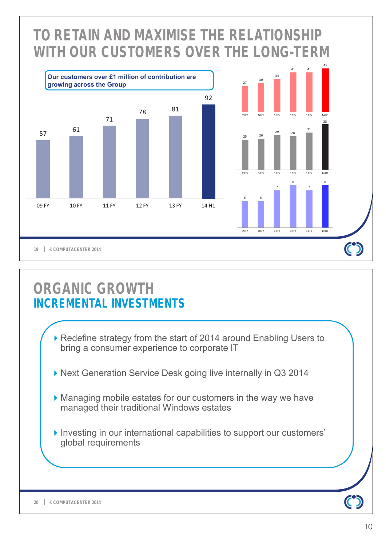

## **ORGANIC GROWTH INCREMENTAL INVESTMENTS**

- ▶ Redefine strategy from the start of 2014 around Enabling Users to bring a consumer experience to corporate IT
- ▶ Next Generation Service Desk going live internally in Q3 2014
- Managing mobile estates for our customers in the way we have managed their traditional Windows estates
- Investing in our international capabilities to support our customers' global requirements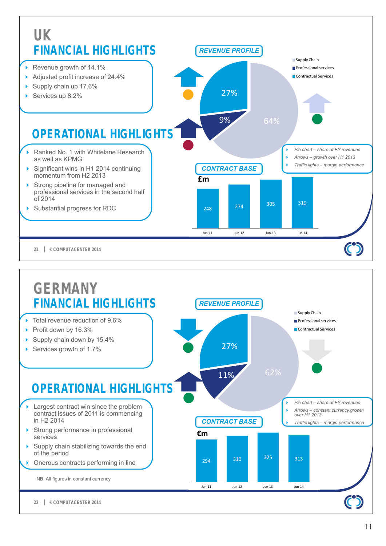

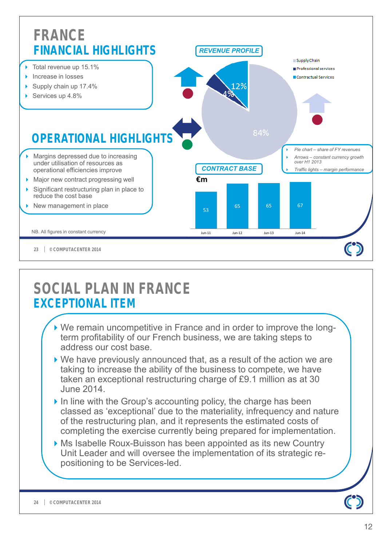

## **SOCIAL PLAN IN FRANCE EXCEPTIONAL ITEM**

- We remain uncompetitive in France and in order to improve the longterm profitability of our French business, we are taking steps to address our cost base.
- ▶ We have previously announced that, as a result of the action we are taking to increase the ability of the business to compete, we have taken an exceptional restructuring charge of £9.1 million as at 30 June 2014.
- $\triangleright$  In line with the Group's accounting policy, the charge has been classed as 'exceptional' due to the materiality, infrequency and nature of the restructuring plan, and it represents the estimated costs of completing the exercise currently being prepared for implementation.
- ▶ Ms Isabelle Roux-Buisson has been appointed as its new Country Unit Leader and will oversee the implementation of its strategic repositioning to be Services-led.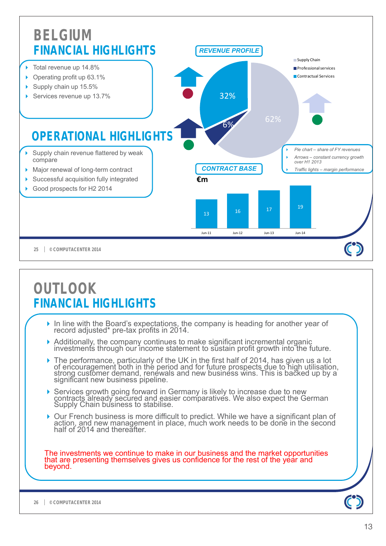![](_page_12_Figure_0.jpeg)

The investments we continue to make in our business and the market opportunities that are presenting themselves gives us confidence for the rest of the year and beyond.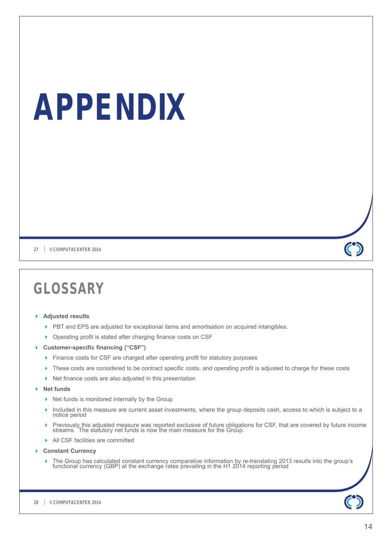# **APPENDIX**

**27 © COMPUTACENTER 2014**

## **GLOSSARY**

### **Adjusted results**

- PBT and EPS are adjusted for exceptional items and amortisation on acquired intangibles.
- **Derating profit is stated after charging finance costs on CSF**
- **Customer-specific financing ("CSF")**
	- Finance costs for CSF are charged after operating profit for statutory purposes
	- **These costs are considered to be contract specific costs, and operating profit is adjusted to charge for these costs**
	- ▶ Net finance costs are also adjusted in this presentation
- **Net funds**
	- $\triangleright$  Net funds is monitored internally by the Group
	- Included in this measure are current asset investments, where the group deposits cash, access to which is subject to a notice period
	- Previously this adjusted measure was reported exclusive of future obligations for CSF, that are covered by future income streams. The statutory net funds is now the main measure for the Group.
	- All CSF facilities are committed
- **Constant Currency**
	- The Group has calculated constant currency comparative information by re-translating 2013 results into the group's functional currency (GBP) at the exchange rates prevailing in the H1 2014 reporting period

 $\mathbf{C}$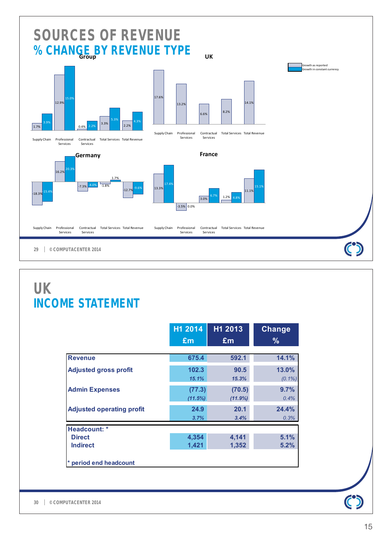![](_page_14_Figure_0.jpeg)

## **UK INCOME STATEMENT**

|                                  | H1 2014         | H1 2013         | <b>Change</b>      |
|----------------------------------|-----------------|-----------------|--------------------|
|                                  | £m              | £m              | $\frac{9}{6}$      |
| <b>Revenue</b>                   | 675.4           | 592.1           | 14.1%              |
| <b>Adjusted gross profit</b>     | 102.3<br>15.1%  | 90.5<br>15.3%   | 13.0%<br>$(0.1\%)$ |
| <b>Admin Expenses</b>            | (77.3)          | (70.5)          | 9.7%               |
| <b>Adjusted operating profit</b> | (11.5%)<br>24.9 | (11.9%)<br>20.1 | 0.4%<br>24.4%      |
|                                  | 3.7%            | 3.4%            | 0.3%               |
| Headcount: *                     |                 |                 |                    |
| <b>Direct</b><br><b>Indirect</b> | 4,354<br>1,421  | 4,141<br>1,352  | 5.1%<br>5.2%       |
| period end headcount             |                 |                 |                    |

 $\mathbf{C}$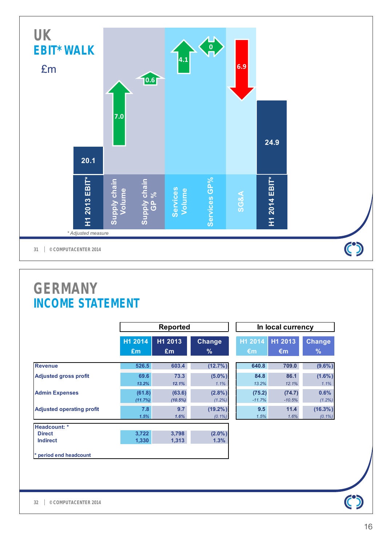![](_page_15_Figure_0.jpeg)

## **GERMANY INCOME STATEMENT**

|                                  |                           | <b>Reported</b>   |                         |                    | In local currency  |                         |
|----------------------------------|---------------------------|-------------------|-------------------------|--------------------|--------------------|-------------------------|
|                                  | H <sub>1</sub> 2014<br>£m | H1 2013<br>Em     | Change<br>$\%$          | H1 2014<br>€m      | H1 2013<br>€m      | <b>Change</b><br>%      |
| <b>Revenue</b>                   | 526.5                     | 603.4             | $(12.7\%)$              | 640.8              | 709.0              | $(9.6\%)$               |
| <b>Adjusted gross profit</b>     | 69.6<br>13.2%             | 73.3<br>12.1%     | $(5.0\%)$<br>1.1%       | 84.8<br>13.2%      | 86.1<br>12.1%      | $(1.6\%)$<br>1.1%       |
| <b>Admin Expenses</b>            | (61.8)<br>(11.7%)         | (63.6)<br>(10.5%) | $(2.8\%)$<br>$(1.2\%)$  | (75.2)<br>$-11.7%$ | (74.7)<br>$-10.5%$ | 0.6%<br>(1.2%)          |
| <b>Adjusted operating profit</b> | 7.8<br>1.5%               | 9.7<br>1.6%       | $(19.2\%)$<br>$(0.1\%)$ | 9.5<br>1.5%        | 11.4<br>1.6%       | $(16.3\%)$<br>$(0.1\%)$ |
| Headcount: *                     |                           |                   |                         |                    |                    |                         |
| <b>Direct</b><br><b>Indirect</b> | 3,722<br>1,330            | 3,798<br>1,313    | $(2.0\%)$<br>1.3%       |                    |                    |                         |
| * period end headcount           |                           |                   |                         |                    |                    |                         |

| In local currency |          |            |  |  |  |  |
|-------------------|----------|------------|--|--|--|--|
| H1 2014           | H1 2013  |            |  |  |  |  |
| €m                | €m       |            |  |  |  |  |
| 640.8             | 709.0    | $(9.6\%)$  |  |  |  |  |
| 84.8              | 86.1     | $(1.6\%)$  |  |  |  |  |
| 13.2%             | 12.1%    | 1.1%       |  |  |  |  |
| (75.2)            | (74.7)   | 0.6%       |  |  |  |  |
| $-11.7%$          | $-10.5%$ | $(1.2\%)$  |  |  |  |  |
| 9.5               | 11.4     | $(16.3\%)$ |  |  |  |  |
| 1.5%              | 1.6%     | $(0.1\%)$  |  |  |  |  |

 $\overline{\phantom{0}}$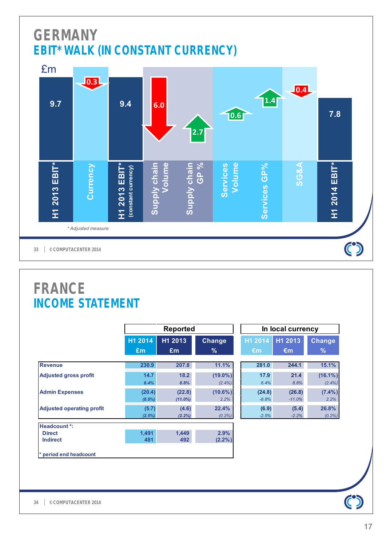## **GERMANY EBIT\* WALK (IN CONSTANT CURRENCY)**

![](_page_16_Figure_1.jpeg)

## **FRANCE INCOME STATEMENT**

|                                  |                     | <b>Reported</b>      |                         |                   | In local currency  |                         |  |
|----------------------------------|---------------------|----------------------|-------------------------|-------------------|--------------------|-------------------------|--|
|                                  | H1 2014             | H1 2013<br>Change    |                         | H1 2014           | H1 2013            | <b>Change</b>           |  |
|                                  | £m                  | Em                   | $\%$                    | $\epsilon$ m      | €m                 | $\%$                    |  |
| <b>Revenue</b>                   | 230.9               | 207.8                | 11.1%                   | 281.0             | 244.1              | 15.1%                   |  |
| <b>Adjusted gross profit</b>     | 14.7<br>6.4%        | 18.2<br>8.8%         | $(19.0\%)$<br>$(2.4\%)$ | 17.9<br>6.4%      | 21.4<br>8.8%       | $(16.1\%)$<br>$(2.4\%)$ |  |
| <b>Admin Expenses</b>            | (20.4)<br>$(8.8\%)$ | (22.8)<br>$(11.0\%)$ | $(10.6\%)$<br>2.2%      | (24.8)<br>$-8.8%$ | (26.8)<br>$-11.0%$ | $(7.4\%)$<br>2.2%       |  |
| <b>Adjusted operating profit</b> | (5.7)<br>(2.5%)     | (4.6)<br>(2.2%)      | 22.4%<br>$(0.2\%)$      | (6.9)<br>$-2.5%$  | (5.4)<br>$-2.2%$   | 26.8%<br>$(0.2\%)$      |  |
| Headcount *:                     |                     |                      |                         |                   |                    |                         |  |
| <b>Direct</b><br><b>Indirect</b> | 1,491<br>481        | 1,449<br>492         | 2.9%<br>(2.2%)          |                   |                    |                         |  |
| * period end headcount           |                     |                      |                         |                   |                    |                         |  |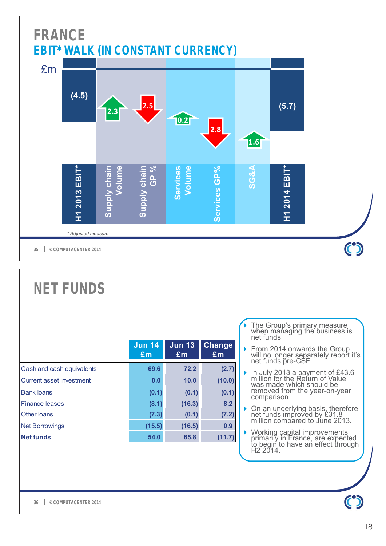![](_page_17_Figure_0.jpeg)

|                           | <b>Jun 14</b><br>£m | <b>Jun 13</b><br>Em | <b>Change</b><br>£m |
|---------------------------|---------------------|---------------------|---------------------|
| Cash and cash equivalents | 69.6                | 72.2                | (2.7)               |
| Current asset investment  | 0.0                 | 10.0                | (10.0)              |
| <b>Bank loans</b>         | (0.1)               | (0.1)               | (0.1)               |
| <b>Finance leases</b>     | (8.1)               | (16.3)              | 8.2                 |
| Other loans               | (7.3)               | (0.1)               | (7.2)               |
| <b>Net Borrowings</b>     | (15.5)              | (16.5)              | 0.9                 |
| <b>Net funds</b>          | 54.0                | 65.8                | (11.7)              |

- ◆ The Group's primary measure when managing the business is net funds
- ▶ From 2014 onwards the Group will no longer separately report it's net funds pre-CSF
- In July 2013 a payment of  $£43.6$ million for the Return of Value was made which should be removed from the year-on-year comparison
- ▶ On an underlying basis, therefore net funds improved by £31.8 million compared to June 2013.
- ▶ Working capital improvements, primarily in France, are expected to begin to have an effect through H2 2014.

**NET FUNDS**

 $\mathbf C$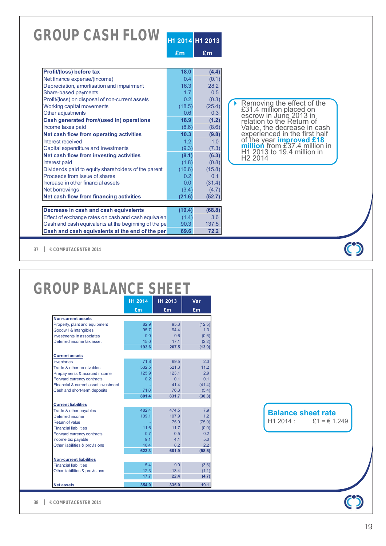|                                                      | £m     | £m     |                                                                                 |
|------------------------------------------------------|--------|--------|---------------------------------------------------------------------------------|
| Profit/(loss) before tax                             | 18.0   | (4.4)  |                                                                                 |
| Net finance expense/(income)                         | 0.4    | (0.1)  |                                                                                 |
| Depreciation, amortisation and impairment            | 16.3   | 28.2   |                                                                                 |
| Share-based payments                                 | 1.7    | 0.5    |                                                                                 |
| Profit/(loss) on disposal of non-current assets      | 0.2    | (0.3)  |                                                                                 |
| Working capital movements                            | (18.5) | (25.4) |                                                                                 |
| Other adjustments                                    | 0.6    | 0.3    | Removing the effect of the<br>£31.4 million placed on<br>escrow in June 2013 in |
| Cash generated from/(used in) operations             | 18.9   | (1.2)  | relation to the Return of                                                       |
| Income taxes paid                                    | (8.6)  | (8.6)  |                                                                                 |
| Net cash flow from operating activities              | 10.3   | (9.8)  | Value, the decrease in cash<br>experienced in the first half                    |
| Interest received                                    | 1.2    | 1.0    | of the year <b>improved £18</b><br>million from £37.4 million in                |
| Capital expenditure and investments                  | (9.3)  | (7.3)  |                                                                                 |
| Net cash flow from investing activities              | (8.1)  | (6.3)  | H1 2013 to 19.4 million in<br>H <sub>2</sub> 2014                               |
| Interest paid                                        | (1.8)  | (0.8)  |                                                                                 |
| Dividends paid to equity shareholders of the parent  | (16.6) | (15.8) |                                                                                 |
| Proceeds from issue of shares                        | 0.2    | 0.1    |                                                                                 |
| Increase in other financial assets                   | 0.0    | (31.4) |                                                                                 |
| <b>Net borrowings</b>                                | (3.4)  | (4.7)  |                                                                                 |
| Net cash flow from financing activities              | (21.6) | (52.7) |                                                                                 |
| Decrease in cash and cash equivalents                | (19.4) | (68.8) |                                                                                 |
| Effect of exchange rates on cash and cash equivalen  | (1.4)  | 3.6    |                                                                                 |
| Cash and cash equivalents at the beginning of the pe | 90.3   | 137.5  |                                                                                 |
| Cash and cash equivalents at the end of the per      | 69.6   | 72.2   |                                                                                 |

**© COMPUTACENTER 2014 37**

# **GROUP BALANCE SHEET**

|                                      | H1 2014 | H1 2013        | Var    |
|--------------------------------------|---------|----------------|--------|
|                                      | £m      | £m             | £m     |
| <b>Non-current assets</b>            |         |                |        |
| Property, plant and equipment        | 82.9    | 95.3           | (12.5) |
| <b>Goodwill &amp; Intangibles</b>    | 95.7    | 94.4           | 1.3    |
| <b>Investments in associates</b>     | 0.0     | 0.6            | (0.6)  |
| Deferred income tax asset            | 15.0    | 17.1           | (2.2)  |
|                                      | 193.6   | 207.5          | (13.9) |
| <b>Current assets</b>                |         |                |        |
| Inventories                          | 71.8    | 69.5           | 2.3    |
| Trade & other receivables            | 532.5   | 521.3          | 11.2   |
| Prepayments & accrued income         | 125.9   | 123.1          | 2.9    |
| Forward currency contracts           | 0.2     | 0 <sub>1</sub> | 0.1    |
| Financial & current asset investment |         | 41.4           | (41.4) |
| Cash and short-term deposits         | 71.0    | 76.3           | (5.4)  |
|                                      | 801.4   | 831.7          | (30.3) |
| <b>Current liabilities</b>           |         |                |        |
| Trade & other payables               | 482.4   | 474.5          | 7.9    |
| Deferred income                      | 109.1   | 107.9          | 1.2    |
| Return of value                      |         | 75.0           | (75.0) |
| <b>Financial liabilities</b>         | 11.6    | 11.7           | (0.0)  |
| Forward currency contracts           | 0.7     | 0.5            | 0.2    |
| Income tax payable                   | 9.1     | 4.1            | 5.0    |
| Other liabilities & provisions       | 10.4    | 8.2            | 2.2    |
|                                      | 623.3   | 681.9          | (58.6) |
| <b>Non-current liabilities</b>       |         |                |        |
| <b>Financial liabilities</b>         | 5.4     | 9.0            | (3.6)  |
| Other liabilities & provisions       | 12.3    | 13.4           | (1.1)  |
|                                      | 17.7    | 22.4           | (4.7)  |
| <b>Net assets</b>                    | 354.0   | 335.0          | 19.1   |

**Balance sheet rate**<br>H1 2014 : £1 = €1.  $£1 = € 1.249$ 

**© COMPUTACENTER 2014 38**

 $\bf C$